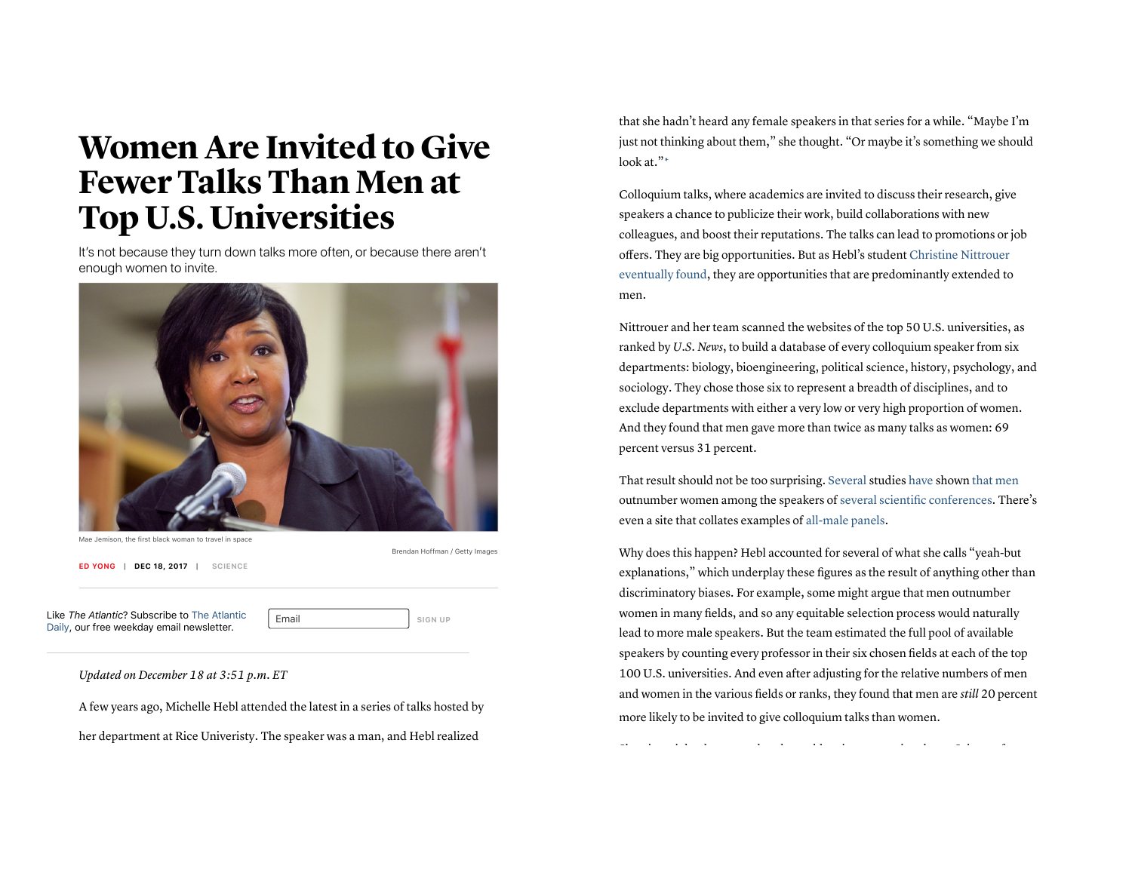## Women Are Invited to Give Fewer Talks Than Men at Top U.S. Universities

It's not because they turn down talks more often, or because there aren't enough women to invite.



Mae Jemison, the first black woman to travel in space

Brendan Hoffman / Getty Images

**ED YONG | DEC 18, 2017 | SCIENCE**

Like *The Atlantic*? Subscribe to The Atlantic Daily, our free weekday email newsletter.

Email **SIGN UP** 

*Updated on December 18 at 3:51 p.m. ET*

A few years ago, Michelle Hebl attended the latest in a series of talks hosted by her department at Rice Univeristy. The speaker was a man, and Hebl realized

that she hadn't heard any female speakers in that series for a while. "Maybe I'm just not thinking about them," she thought. "Or maybe it's something we should look at."\*

Colloquium talks, where academics are invited to discuss their research, give speakers a chance to publicize their work, build collaborations with new colleagues, and boost their reputations. The talks can lead to promotions or job offers. They are big opportunities. But as Hebl's student Christine Nittrouer eventually found, they are opportunities that are predominantly extended to men.

Nittrouer and her team scanned the websites of the top 50 U.S. universities, as ranked by *U.S. News*, to build a database of every colloquium speaker from six departments: biology, bioengineering, political science, history, psychology, and sociology. They chose those six to represent a breadth of disciplines, and to exclude departments with either a very low or very high proportion of women. And they found that men gave more than twice as many talks as women: 69 percent versus 31 percent.

That result should not be too surprising. Several studies have shown that men outnumber women among the speakers of several scientific conferences. There's even a site that collates examples of all-male panels.

Why does this happen? Hebl accounted for several of what she calls "yeah-but explanations," which underplay these figures as the result of anything other than discriminatory biases. For example, some might argue that men outnumber women in many fields, and so any equitable selection process would naturally lead to more male speakers. But the team estimated the full pool of available speakers by counting every professor in their six chosen fields at each of the top 100 U.S. universities. And even after adjusting for the relative numbers of men and women in the various fields or ranks, they found that men are *still* 20 percent more likely to be invited to give colloquium talks than women.

Skeptics might also argue that the problem is a generational one: Science, for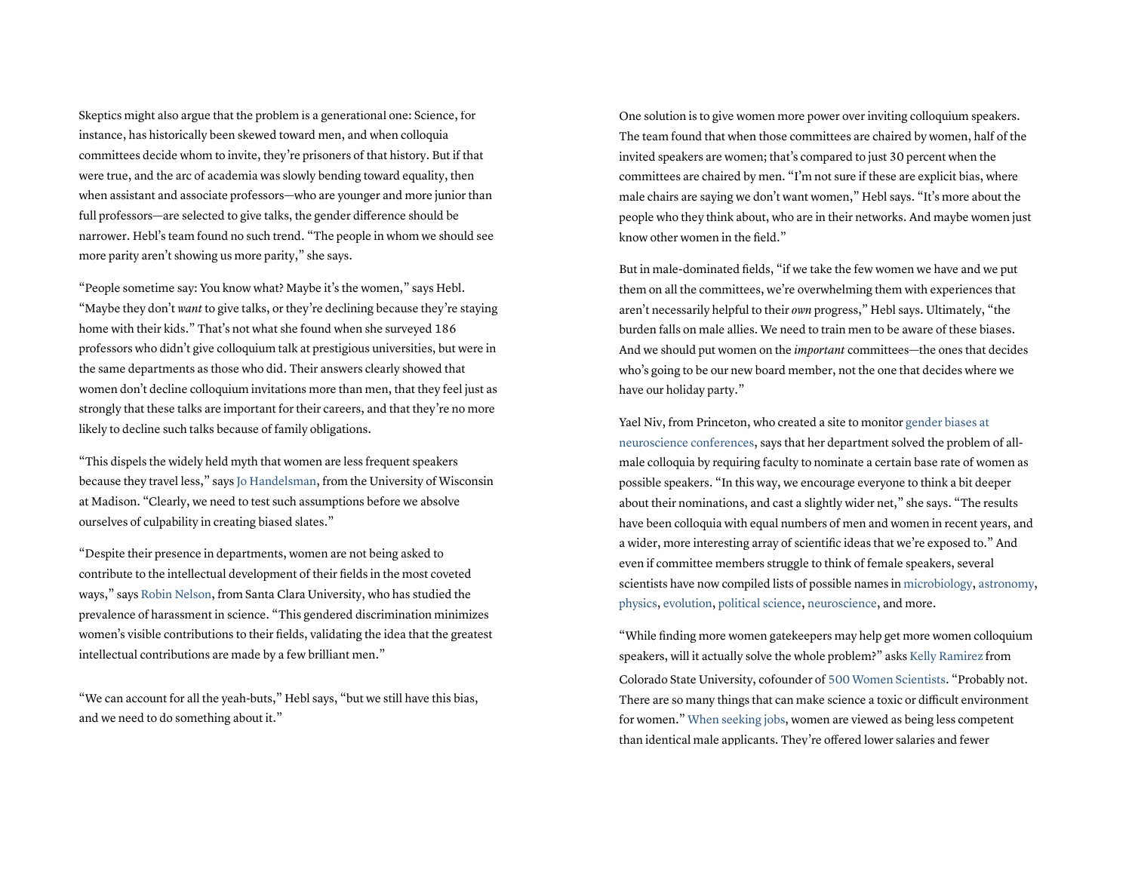Skeptics might also argue that the problem is a generational one: Science, for instance, has historically been skewed toward men, and when colloquia committees decide whom to invite, they're prisoners of that history. But if that were true, and the arc of academia was slowly bending toward equality, then when assistant and associate professors—who are younger and more junior than full professors—are selected to give talks, the gender difference should be narrower. Hebl's team found no such trend. "The people in whom we should see more parity aren't showing us more parity," she says.

"People sometime say: You know what? Maybe it's the women," says Hebl. "Maybe they don't *want* to give talks, or they're declining because they're staying home with their kids." That's not what she found when she surveyed 186 professors who didn't give colloquium talk at prestigious universities, but were in the same departments as those who did. Their answers clearly showed that women don't decline colloquium invitations more than men, that they feel just as strongly that these talks are important for their careers, and that they're no more likely to decline such talks because of family obligations.

"This dispels the widely held myth that women are less frequent speakers because they travel less," says Jo Handelsman, from the University of Wisconsin at Madison. "Clearly, we need to test such assumptions before we absolve ourselves of culpability in creating biased slates."

"Despite their presence in departments, women are not being asked to contribute to the intellectual development of their fields in the most coveted ways," says Robin Nelson, from Santa Clara University, who has studied the prevalence of harassment in science. "This gendered discrimination minimizes women's visible contributions to their fields, validating the idea that the greatest intellectual contributions are made by a few brilliant men."

"We can account for all the yeah-buts," Hebl says, "but we still have this bias, and we need to do something about it."

One solution is to give women more power over inviting colloquium speakers. The team found that when those committees are chaired by women, half of the invited speakers are women; that's compared to just 30 percent when the committees are chaired by men. "I'm not sure if these are explicit bias, where male chairs are saying we don't want women," Hebl says. "It's more about the people who they think about, who are in their networks. And maybe women just know other women in the field."

But in male-dominated fields, "if we take the few women we have and we put them on all the committees, we're overwhelming them with experiences that aren't necessarily helpful to their *own* progress," Hebl says. Ultimately, "the burden falls on male allies. We need to train men to be aware of these biases. And we should put women on the *important* committees—the ones that decides who's going to be our new board member, not the one that decides where we have our holiday party."

Yael Niv, from Princeton, who created a site to monitor gender biases at neuroscience conferences, says that her department solved the problem of allmale colloquia by requiring faculty to nominate a certain base rate of women as possible speakers. "In this way, we encourage everyone to think a bit deeper about their nominations, and cast a slightly wider net," she says. "The results have been colloquia with equal numbers of men and women in recent years, and a wider, more interesting array of scientific ideas that we're exposed to." And even if committee members struggle to think of female speakers, several scientists have now compiled lists of possible names in microbiology, astronomy, physics, evolution, political science, neuroscience, and more.

"While finding more women gatekeepers may help get more women colloquium speakers, will it actually solve the whole problem?" asks Kelly Ramirez from Colorado State University, cofounder of 500 Women Scientists. "Probably not. There are so many things that can make science a toxic or difficult environment for women." When seeking jobs, women are viewed as being less competent than identical male applicants. They're offered lower salaries and fewer